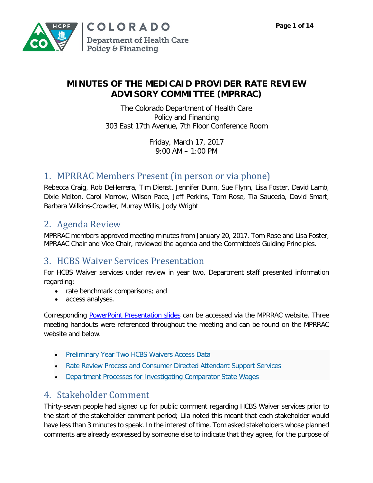

### **MINUTES OF THE MEDICAID PROVIDER RATE REVIEW ADVISORY COMMITTEE (MPRRAC)**

The Colorado Department of Health Care Policy and Financing 303 East 17th Avenue, 7th Floor Conference Room

> Friday, March 17, 2017 9:00 AM – 1:00 PM

## 1. MPRRAC Members Present (in person or via phone)

Rebecca Craig, Rob DeHerrera, Tim Dienst, Jennifer Dunn, Sue Flynn, Lisa Foster, David Lamb, Dixie Melton, Carol Morrow, Wilson Pace, Jeff Perkins, Tom Rose, Tia Sauceda, David Smart, Barbara Wilkins-Crowder, Murray Willis, Jody Wright

### 2. Agenda Review

MPRRAC members approved meeting minutes from January 20, 2017. Tom Rose and Lisa Foster, MPRAAC Chair and Vice Chair, reviewed the agenda and the Committee's Guiding Principles.

# 3. HCBS Waiver Services Presentation

For HCBS Waiver services under review in year two, Department staff presented information regarding:

- rate benchmark comparisons; and
- access analyses.

Corresponding [PowerPoint Presentation slides](https://www.colorado.gov/pacific/sites/default/files/Medicaid%20Provider%20Rate%20Review%20Advisory%20Committee%20Presentation%20March%202017.pdf) can be accessed via the MPRRAC website. Three meeting handouts were referenced throughout the meeting and can be found on the MPRRAC website and below.

- [Preliminary Year Two HCBS Waivers Access Data](https://www.colorado.gov/pacific/sites/default/files/Preliminary%20Year%20Two%20HCBS%20Waivers%20Access%20Data%20March%202017.pdf)
- [Rate Review Process and Consumer Directed Attendant Support Services](https://www.colorado.gov/pacific/sites/default/files/Rate%20Review%20Process%20and%20Consumer%20Directed%20Attendant%20Support%20Services%20March%202017.pdf)
- [Department Processes for Investigating Comparator State Wages](https://www.colorado.gov/pacific/sites/default/files/Department%20Process%20for%20Investigating%20Comparator%20State%20Wages%20March%202017.pdf)

# 4. Stakeholder Comment

Thirty-seven people had signed up for public comment regarding HCBS Waiver services prior to the start of the stakeholder comment period; Lila noted this meant that each stakeholder would have less than 3 minutes to speak. In the interest of time, Tom asked stakeholders whose planned comments are already expressed by someone else to indicate that they agree, for the purpose of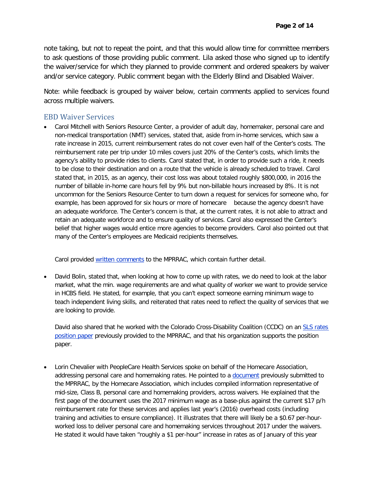note taking, but not to repeat the point, and that this would allow time for committee members to ask questions of those providing public comment. Lila asked those who signed up to identify the waiver/service for which they planned to provide comment and ordered speakers by waiver and/or service category. Public comment began with the Elderly Blind and Disabled Waiver.

Note: while feedback is grouped by waiver below, certain comments applied to services found across multiple waivers.

#### EBD Waiver Services

• Carol Mitchell with Seniors Resource Center, a provider of adult day, homemaker, personal care and non-medical transportation (NMT) services, stated that, aside from in-home services, which saw a rate increase in 2015, current reimbursement rates do not cover even half of the Center's costs. The reimbursement rate per trip under 10 miles covers just 20% of the Center's costs, which limits the agency's ability to provide rides to clients. Carol stated that, in order to provide such a ride, it needs to be close to their destination and on a route that the vehicle is already scheduled to travel. Carol stated that, in 2015, as an agency, their cost loss was about totaled roughly \$800,000, in 2016 the number of billable in-home care hours fell by 9% but non-billable hours increased by 8%. It is not uncommon for the Seniors Resource Center to turn down a request for services for someone who, for example, has been approved for six hours or more of homecare because the agency doesn't have an adequate workforce. The Center's concern is that, at the current rates, it is not able to attract and retain an adequate workforce and to ensure quality of services. Carol also expressed the Center's belief that higher wages would entice more agencies to become providers. Carol also pointed out that many of the Center's employees are Medicaid recipients themselves.

Carol provided written comments to the MPRRAC, which contain further detail.

• David Bolin, stated that, when looking at how to come up with rates, we do need to look at the labor market, what the min. wage requirements are and what quality of worker we want to provide service in HCBS field. He stated, for example, that you can't expect someone earning minimum wage to teach independent living skills, and reiterated that rates need to reflect the quality of services that we are looking to provide.

David also shared that he worked with the Colorado Cross-Disability Coalition (CCDC) on an SLS rates position paper previously provided to the MPRRAC, and that his organization supports the position paper.

• Lorin Chevalier with PeopleCare Health Services spoke on behalf of the Homecare Association, addressing personal care and homemaking rates. He pointed to a document previously submitted to the MPRRAC, by the Homecare Association, which includes compiled information representative of mid-size, Class B, personal care and homemaking providers, across waivers. He explained that the first page of the document uses the 2017 minimum wage as a base-plus against the current \$17 p/h reimbursement rate for these services and applies last year's (2016) overhead costs (including training and activities to ensure compliance). It illustrates that there will likely be a \$0.67 per-hourworked loss to deliver personal care and homemaking services throughout 2017 under the waivers. He stated it would have taken "roughly a \$1 per-hour" increase in rates as of January of this year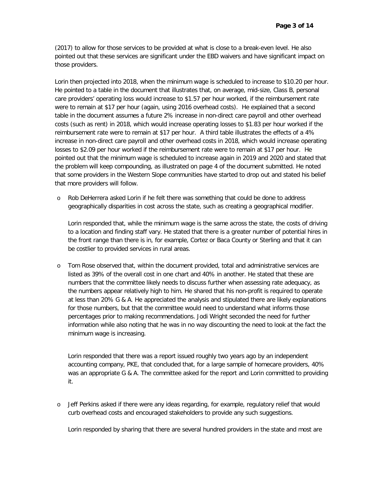(2017) to allow for those services to be provided at what is close to a break-even level. He also pointed out that these services are significant under the EBD waivers and have significant impact on those providers.

Lorin then projected into 2018, when the minimum wage is scheduled to increase to \$10.20 per hour. He pointed to a table in the document that illustrates that, on average, mid-size, Class B, personal care providers' operating loss would increase to \$1.57 per hour worked, if the reimbursement rate were to remain at \$17 per hour (again, using 2016 overhead costs). He explained that a second table in the document assumes a future 2% increase in non-direct care payroll and other overhead costs (such as rent) in 2018, which would increase operating losses to \$1.83 per hour worked if the reimbursement rate were to remain at \$17 per hour. A third table illustrates the effects of a 4% increase in non-direct care payroll and other overhead costs in 2018, which would increase operating losses to \$2.09 per hour worked if the reimbursement rate were to remain at \$17 per hour. He pointed out that the minimum wage is scheduled to increase again in 2019 and 2020 and stated that the problem will keep compounding, as illustrated on page 4 of the document submitted. He noted that some providers in the Western Slope communities have started to drop out and stated his belief that more providers will follow.

o Rob DeHerrera asked Lorin if he felt there was something that could be done to address geographically disparities in cost across the state, such as creating a geographical modifier.

Lorin responded that, while the minimum wage is the same across the state, the costs of driving to a location and finding staff vary. He stated that there is a greater number of potential hires in the front range than there is in, for example, Cortez or Baca County or Sterling and that it can be costlier to provided services in rural areas.

o Tom Rose observed that, within the document provided, total and administrative services are listed as 39% of the overall cost in one chart and 40% in another. He stated that these are numbers that the committee likely needs to discuss further when assessing rate adequacy, as the numbers appear relatively high to him. He shared that his non-profit is required to operate at less than 20% G & A. He appreciated the analysis and stipulated there are likely explanations for those numbers, but that the committee would need to understand what informs those percentages prior to making recommendations. Jodi Wright seconded the need for further information while also noting that he was in no way discounting the need to look at the fact the minimum wage is increasing.

Lorin responded that there was a report issued roughly two years ago by an independent accounting company, PKE, that concluded that, for a large sample of homecare providers, 40% was an appropriate G & A. The committee asked for the report and Lorin committed to providing it.

o Jeff Perkins asked if there were any ideas regarding, for example, regulatory relief that would curb overhead costs and encouraged stakeholders to provide any such suggestions.

Lorin responded by sharing that there are several hundred providers in the state and most are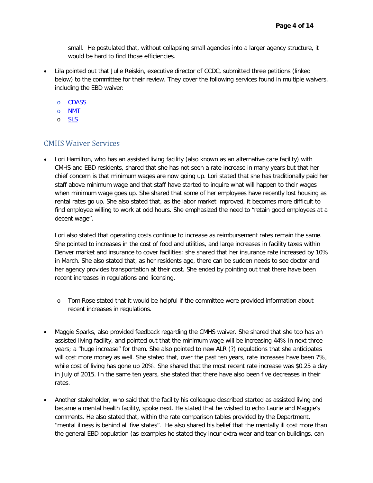small. He postulated that, without collapsing small agencies into a larger agency structure, it would be hard to find those efficiencies.

- Lila pointed out that Julie Reiskin, executive director of CCDC, submitted three petitions (linked below) to the committee for their review. They cover the following services found in multiple waivers, including the EBD waiver:
	- o [CDASS](https://www.colorado.gov/pacific/sites/default/files/Public%20Comment%20from%20the%20Colorado%20Cross%20Disability%20Coalition%20%28CCDC%29%20%E2%80%93%20CDASS%20March%202017.pdf)
	- o [NMT](https://www.colorado.gov/pacific/sites/default/files/Public%20Comment%20from%20the%20Colorado%20Cross%20Disability%20Coalition%20%28CCDC%29%20%E2%80%93%20NMT%20March%202017.pdf)
	- o [SLS](https://www.colorado.gov/pacific/sites/default/files/Public%20Comment%20from%20the%20Colorado%20Cross%20Disability%20Coalition%20%28CCDC%29%20%E2%80%93%20SLS%20March%202017.pdf)

#### CMHS Waiver Services

• Lori Hamilton, who has an assisted living facility (also known as an alternative care facility) with CMHS and EBD residents, shared that she has not seen a rate increase in many years but that her chief concern is that minimum wages are now going up. Lori stated that she has traditionally paid her staff above minimum wage and that staff have started to inquire what will happen to their wages when minimum wage goes up. She shared that some of her employees have recently lost housing as rental rates go up. She also stated that, as the labor market improved, it becomes more difficult to find employee willing to work at odd hours. She emphasized the need to "retain good employees at a decent wage".

Lori also stated that operating costs continue to increase as reimbursement rates remain the same. She pointed to increases in the cost of food and utilities, and large increases in facility taxes within Denver market and insurance to cover facilities; she shared that her insurance rate increased by 10% in March. She also stated that, as her residents age, there can be sudden needs to see doctor and her agency provides transportation at their cost. She ended by pointing out that there have been recent increases in regulations and licensing.

- o Tom Rose stated that it would be helpful if the committee were provided information about recent increases in regulations.
- Maggie Sparks, also provided feedback regarding the CMHS waiver. She shared that she too has an assisted living facility, and pointed out that the minimum wage will be increasing 44% in next three years; a "huge increase" for them. She also pointed to new ALR (?) regulations that she anticipates will cost more money as well. She stated that, over the past ten years, rate increases have been 7%, while cost of living has gone up 20%. She shared that the most recent rate increase was \$0.25 a day in July of 2015. In the same ten years, she stated that there have also been five decreases in their rates.
- Another stakeholder, who said that the facility his colleague described started as assisted living and became a mental health facility, spoke next. He stated that he wished to echo Laurie and Maggie's comments. He also stated that, within the rate comparison tables provided by the Department, "mental illness is behind all five states". He also shared his belief that the mentally ill cost more than the general EBD population (as examples he stated they incur extra wear and tear on buildings, can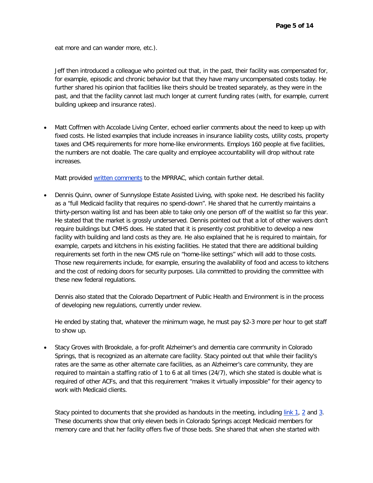eat more and can wander more, etc.).

Jeff then introduced a colleague who pointed out that, in the past, their facility was compensated for, for example, episodic and chronic behavior but that they have many uncompensated costs today. He further shared his opinion that facilities like theirs should be treated separately, as they were in the past, and that the facility cannot last much longer at current funding rates (with, for example, current building upkeep and insurance rates).

• Matt Coffmen with Accolade Living Center, echoed earlier comments about the need to keep up with fixed costs. He listed examples that include increases in insurance liability costs, utility costs, property taxes and CMS requirements for more home-like environments. Employs 160 people at five facilities, the numbers are not doable. The care quality and employee accountability will drop without rate increases.

Matt provided written comments to the MPRRAC, which contain further detail.

• Dennis Quinn, owner of Sunnyslope Estate Assisted Living, with spoke next. He described his facility as a "full Medicaid facility that requires no spend-down". He shared that he currently maintains a thirty-person waiting list and has been able to take only one person off of the waitlist so far this year. He stated that the market is grossly underserved. Dennis pointed out that a lot of other waivers don't require buildings but CMHS does. He stated that it is presently cost prohibitive to develop a new facility with building and land costs as they are. He also explained that he is required to maintain, for example, carpets and kitchens in his existing facilities. He stated that there are additional building requirements set forth in the new CMS rule on "home-like settings" which will add to those costs. Those new requirements include, for example, ensuring the availability of food and access to kitchens and the cost of redoing doors for security purposes. Lila committed to providing the committee with these new federal regulations.

Dennis also stated that the Colorado Department of Public Health and Environment is in the process of developing new regulations, currently under review.

He ended by stating that, whatever the minimum wage, he must pay \$2-3 more per hour to get staff to show up.

• Stacy Groves with Brookdale, a for-profit Alzheimer's and dementia care community in Colorado Springs, that is recognized as an alternate care facility. Stacy pointed out that while their facility's rates are the same as other alternate care facilities, as an Alzheimer's care community, they are required to maintain a staffing ratio of 1 to 6 at all times (24/7), which she stated is double what is required of other ACFs, and that this requirement "makes it virtually impossible" for their agency to work with Medicaid clients.

Stacy pointed to documents that she provided as handouts in the meeting, including link 1, 2 and 3. These documents show that only eleven beds in Colorado Springs accept Medicaid members for memory care and that her facility offers five of those beds. She shared that when she started with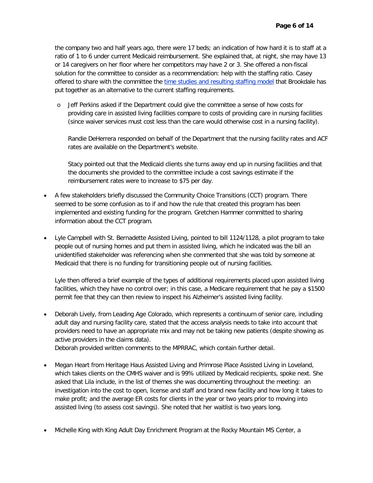the company two and half years ago, there were 17 beds; an indication of how hard it is to staff at a ratio of 1 to 6 under current Medicaid reimbursement. She explained that, at night, she may have 13 or 14 caregivers on her floor where her competitors may have 2 or 3. She offered a non-fiscal solution for the committee to consider as a recommendation: help with the staffing ratio. Casey offered to share with the committee the time studies and resulting staffing model that Brookdale has put together as an alternative to the current staffing requirements.

o Jeff Perkins asked if the Department could give the committee a sense of how costs for providing care in assisted living facilities compare to costs of providing care in nursing facilities (since waiver services must cost less than the care would otherwise cost in a nursing facility).

Randie DeHerrera responded on behalf of the Department that the nursing facility rates and ACF rates are available on the Department's website.

Stacy pointed out that the Medicaid clients she turns away end up in nursing facilities and that the documents she provided to the committee include a cost savings estimate if the reimbursement rates were to increase to \$75 per day.

- A few stakeholders briefly discussed the Community Choice Transitions (CCT) program. There seemed to be some confusion as to if and how the rule that created this program has been implemented and existing funding for the program. Gretchen Hammer committed to sharing information about the CCT program.
- Lyle Campbell with St. Bernadette Assisted Living, pointed to bill 1124/1128, a pilot program to take people out of nursing homes and put them in assisted living, which he indicated was the bill an unidentified stakeholder was referencing when she commented that she was told by someone at Medicaid that there is no funding for transitioning people out of nursing facilities.

Lyle then offered a brief example of the types of additional requirements placed upon assisted living facilities, which they have no control over; in this case, a Medicare requirement that he pay a \$1500 permit fee that they can then review to inspect his Alzheimer's assisted living facility.

• Deborah Lively, from Leading Age Colorado, which represents a continuum of senior care, including adult day and nursing facility care, stated that the access analysis needs to take into account that providers need to have an appropriate mix and may not be taking new patients (despite showing as active providers in the claims data).

Deborah provided written comments to the MPRRAC, which contain further detail.

- Megan Heart from Heritage Haus Assisted Living and Primrose Place Assisted Living in Loveland, which takes clients on the CMHS waiver and is 99% utilized by Medicaid recipients, spoke next. She asked that Lila include, in the list of themes she was documenting throughout the meeting: an investigation into the cost to open, license and staff and brand new facility and how long it takes to make profit; and the average ER costs for clients in the year or two years prior to moving into assisted living (to assess cost savings). She noted that her waitlist is two years long.
- Michelle King with King Adult Day Enrichment Program at the Rocky Mountain MS Center, a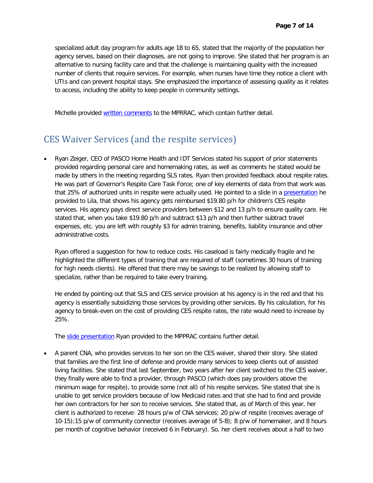specialized adult day program for adults age 18 to 65, stated that the majority of the population her agency serves, based on their diagnoses, are not going to improve. She stated that her program is an alternative to nursing facility care and that the challenge is maintaining quality with the increased number of clients that require services. For example, when nurses have time they notice a client with UTIs and can prevent hospital stays. She emphasized the importance of assessing quality as it relates to access, including the ability to keep people in community settings.

Michelle provided [written comments](https://www.colorado.gov/pacific/sites/default/files/Public%20Comment%20from%20King%20Adult%20Day%20Enrichment%20Program%20%28KADEP%29%20March%202017.pdf) to the MPRRAC, which contain further detail.

### CES Waiver Services (and the respite services)

• Ryan Zeiger, CEO of PASCO Home Health and IDT Services stated his support of prior statements provided regarding personal care and homemaking rates, as well as comments he stated would be made by others in the meeting regarding SLS rates. Ryan then provided feedback about respite rates. He was part of Governor's Respite Care Task Force; one of key elements of data from that work was that 25% of authorized units in respite were actually used. He pointed to a slide in a [presentation](https://www.colorado.gov/pacific/sites/default/files/Access%20Challenges%20for%20Respite%20Services%20March%202017.pdf) he provided to Lila, that shows his agency gets reimbursed \$19.80 p/h for children's CES respite services. His agency pays direct service providers between \$12 and 13 p/h to ensure quality care. He stated that, when you take \$19.80 p/h and subtract \$13 p/h and then further subtract travel expenses, etc. you are left with roughly \$3 for admin training, benefits, liability insurance and other administrative costs.

Ryan offered a suggestion for how to reduce costs. His caseload is fairly medically fragile and he highlighted the different types of training that are required of staff (sometimes 30 hours of training for high needs clients). He offered that there may be savings to be realized by allowing staff to specialize, rather than be required to take every training.

He ended by pointing out that SLS and CES service provision at his agency is in the red and that his agency is essentially subsidizing those services by providing other services. By his calculation, for his agency to break-even on the cost of providing CES respite rates, the rate would need to increase by 25%.

The slide presentation Ryan provided to the MPPRAC contains further detail.

• A parent CNA, who provides services to her son on the CES waiver, shared their story. She stated that families are the first line of defense and provide many services to keep clients out of assisted living facilities. She stated that last September, two years after her client switched to the CES waiver, they finally were able to find a provider, through PASCO (which does pay providers above the minimum wage for respite), to provide some (not all) of his respite services. She stated that she is unable to get service providers because of low Medicaid rates and that she had to find and provide her own contractors for her son to receive services. She stated that, as of March of this year, her client is authorized to receive: 28 hours p/w of CNA services; 20 p/w of respite (receives average of 10-15);15 p/w of community connector (receives average of 5-8); 8 p/w of homemaker, and 8 hours per month of cognitive behavior (received 6 in February). So, her client receives about a half to two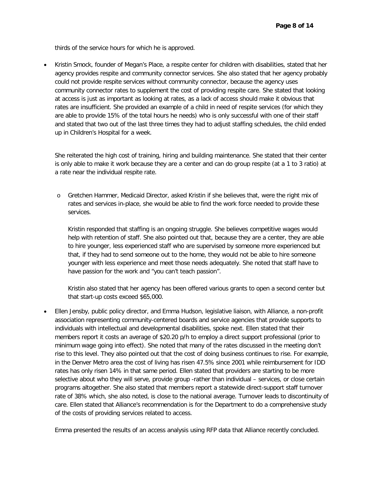thirds of the service hours for which he is approved.

• Kristin Smock, founder of Megan's Place, a respite center for children with disabilities, stated that her agency provides respite and community connector services. She also stated that her agency probably could not provide respite services without community connector, because the agency uses community connector rates to supplement the cost of providing respite care. She stated that looking at access is just as important as looking at rates, as a lack of access should make it obvious that rates are insufficient. She provided an example of a child in need of respite services (for which they are able to provide 15% of the total hours he needs) who is only successful with one of their staff and stated that two out of the last three times they had to adjust staffing schedules, the child ended up in Children's Hospital for a week.

She reiterated the high cost of training, hiring and building maintenance. She stated that their center is only able to make it work because they are a center and can do group respite (at a 1 to 3 ratio) at a rate near the individual respite rate.

o Gretchen Hammer, Medicaid Director, asked Kristin if she believes that, were the right mix of rates and services in-place, she would be able to find the work force needed to provide these services.

Kristin responded that staffing is an ongoing struggle. She believes competitive wages would help with retention of staff. She also pointed out that, because they are a center, they are able to hire younger, less experienced staff who are supervised by someone more experienced but that, if they had to send someone out to the home, they would not be able to hire someone younger with less experience and meet those needs adequately. She noted that staff have to have passion for the work and "you can't teach passion".

Kristin also stated that her agency has been offered various grants to open a second center but that start-up costs exceed \$65,000.

• Ellen Jensby, public policy director, and Emma Hudson, legislative liaison, with Alliance, a non-profit association representing community-centered boards and service agencies that provide supports to individuals with intellectual and developmental disabilities, spoke next. Ellen stated that their members report it costs an average of \$20.20 p/h to employ a direct support professional (prior to minimum wage going into effect). She noted that many of the rates discussed in the meeting don't rise to this level. They also pointed out that the cost of doing business continues to rise. For example, in the Denver Metro area the cost of living has risen 47.5% since 2001 while reimbursement for IDD rates has only risen 14% in that same period. Ellen stated that providers are starting to be more selective about who they will serve, provide group -rather than individual – services, or close certain programs altogether. She also stated that members report a statewide direct-support staff turnover rate of 38% which, she also noted, is close to the national average. Turnover leads to discontinuity of care. Ellen stated that Alliance's recommendation is for the Department to do a comprehensive study of the costs of providing services related to access.

Emma presented the results of an access analysis using RFP data that Alliance recently concluded.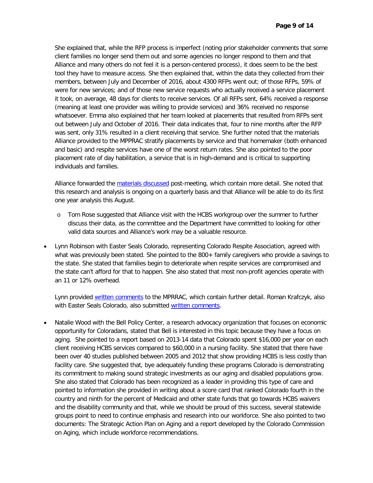She explained that, while the RFP process is imperfect (noting prior stakeholder comments that some client families no longer send them out and some agencies no longer respond to them and that Alliance and many others do not feel it is a person-centered process), it does seem to be the best tool they have to measure access. She then explained that, within the data they collected from their members, between July and December of 2016, about 4300 RFPs went out; of those RFPs, 59% of were for new services; and of those new service requests who actually received a service placement it took, on average, 48 days for clients to receive services. Of all RFPs sent, 64% received a response (meaning at least one provider was willing to provide services) and 36% received no response whatsoever. Emma also explained that her team looked at placements that resulted from RFPs sent out between July and October of 2016. Their data indicates that, four to nine months after the RFP was sent, only 31% resulted in a client receiving that service. She further noted that the materials Alliance provided to the MPPRAC stratify placements by service and that homemaker (both enhanced and basic) and respite services have one of the worst return rates. She also pointed to the poor placement rate of day habilitation, a service that is in high-demand and is critical to supporting individuals and families.

Alliance forwarded the materials discussed post-meeting, which contain more detail. She noted that this research and analysis is ongoing on a quarterly basis and that Alliance will be able to do its first one year analysis this August.

- o Tom Rose suggested that Alliance visit with the HCBS workgroup over the summer to further discuss their data, as the committee and the Department have committed to looking for other valid data sources and Alliance's work may be a valuable resource.
- Lynn Robinson with Easter Seals Colorado, representing Colorado Respite Association, agreed with what was previously been stated. She pointed to the 800+ family caregivers who provide a savings to the state. She stated that families begin to deteriorate when respite services are compromised and the state can't afford for that to happen. She also stated that most non-profit agencies operate with an 11 or 12% overhead.

Lynn provided [written comments](https://www.colorado.gov/pacific/sites/default/files/Public%20Comment%20from%20Lynn%20Robinson%20March%202017.pdf) to the MPRRAC, which contain further detail. Roman Krafczyk, also with Easter Seals Colorado, also submitted [written comments.](https://www.colorado.gov/pacific/sites/default/files/Public%20Comment%20from%20Roman%20Krafczyk%20March%202017.pdf)

• Natalie Wood with the Bell Policy Center, a research advocacy organization that focuses on economic opportunity for Coloradans, stated that Bell is interested in this topic because they have a focus on aging. She pointed to a report based on 2013-14 data that Colorado spent \$16,000 per year on each client receiving HCBS services compared to \$60,000 in a nursing facility. She stated that there have been over 40 studies published between 2005 and 2012 that show providing HCBS is less costly than facility care. She suggested that, bye adequately funding these programs Colorado is demonstrating its commitment to making sound strategic investments as our aging and disabled populations grow. She also stated that Colorado has been recognized as a leader in providing this type of care and pointed to information she provided in writing about a score card that ranked Colorado fourth in the country and ninth for the percent of Medicaid and other state funds that go towards HCBS waivers and the disability community and that, while we should be proud of this success, several statewide groups point to need to continue emphasis and research into our workforce. She also pointed to two documents: The Strategic Action Plan on Aging and a report developed by the Colorado Commission on Aging, which include workforce recommendations.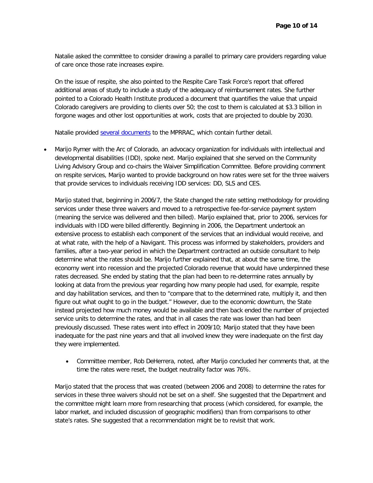Natalie asked the committee to consider drawing a parallel to primary care providers regarding value of care once those rate increases expire.

On the issue of respite, she also pointed to the Respite Care Task Force's report that offered additional areas of study to include a study of the adequacy of reimbursement rates. She further pointed to a Colorado Health Institute produced a document that quantifies the value that unpaid Colorado caregivers are providing to clients over 50; the cost to them is calculated at \$3.3 billion in forgone wages and other lost opportunities at work, costs that are projected to double by 2030.

Natalie provided **several documents** to the MPRRAC, which contain further detail.

• Marijo Rymer with the Arc of Colorado, an advocacy organization for individuals with intellectual and developmental disabilities (IDD), spoke next. Marijo explained that she served on the Community Living Advisory Group and co-chairs the Waiver Simplification Committee. Before providing comment on respite services, Marijo wanted to provide background on how rates were set for the three waivers that provide services to individuals receiving IDD services: DD, SLS and CES.

Marijo stated that, beginning in 2006/7, the State changed the rate setting methodology for providing services under these three waivers and moved to a retrospective fee-for-service payment system (meaning the service was delivered and then billed). Marijo explained that, prior to 2006, services for individuals with IDD were billed differently. Beginning in 2006, the Department undertook an extensive process to establish each component of the services that an individual would receive, and at what rate, with the help of a Navigant. This process was informed by stakeholders, providers and families, after a two-year period in which the Department contracted an outside consultant to help determine what the rates should be. Marijo further explained that, at about the same time, the economy went into recession and the projected Colorado revenue that would have underpinned these rates decreased. She ended by stating that the plan had been to re-determine rates annually by looking at data from the previous year regarding how many people had used, for example, respite and day habilitation services, and then to "compare that to the determined rate, multiply it, and then figure out what ought to go in the budget." However, due to the economic downturn, the State instead projected how much money would be available and then back ended the number of projected service units to determine the rates, and that in all cases the rate was lower than had been previously discussed. These rates went into effect in 2009/10; Marijo stated that they have been inadequate for the past nine years and that all involved knew they were inadequate on the first day they were implemented.

• Committee member, Rob DeHerrera, noted, after Marijo concluded her comments that, at the time the rates were reset, the budget neutrality factor was 76%.

Marijo stated that the process that was created (between 2006 and 2008) to determine the rates for services in these three waivers should not be set on a shelf. She suggested that the Department and the committee might learn more from researching that process (which considered, for example, the labor market, and included discussion of geographic modifiers) than from comparisons to other state's rates. She suggested that a recommendation might be to revisit that work.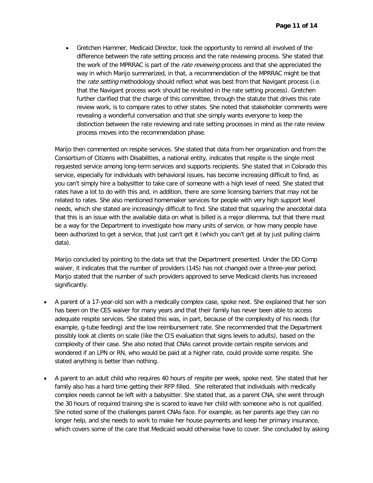• Gretchen Hammer, Medicaid Director, took the opportunity to remind all involved of the difference between the rate setting process and the rate reviewing process. She stated that the work of the MPRRAC is part of the rate reviewing process and that she appreciated the way in which Marijo summarized, in that, a recommendation of the MPRRAC might be that the *rate setting* methodology should reflect what was best from that Navigant process (i.e. that the Navigant process work should be revisited in the rate setting process). Gretchen further clarified that the charge of this committee, through the statute that drives this rate review work, is to compare rates to other states. She noted that stakeholder comments were revealing a wonderful conversation and that she simply wants everyone to keep the distinction between the rate reviewing and rate setting processes in mind as the rate review process moves into the recommendation phase.

Marijo then commented on respite services. She stated that data from her organization and from the Consortium of Citizens with Disabilities, a national entity, indicates that respite is the single most requested service among long-term services and supports recipients. She stated that in Colorado this service, especially for individuals with behavioral issues, has become increasing difficult to find, as you can't simply hire a babysitter to take care of someone with a high level of need. She stated that rates have a lot to do with this and, in addition, there are some licensing barriers that may not be related to rates. She also mentioned homemaker services for people with very high support level needs, which she stated are increasingly difficult to find. She stated that squaring the anecdotal data that this is an issue with the available data on what is billed is a major dilemma, but that there must be a way for the Department to investigate how many units of service, or how many people have been authorized to get a service, that just can't get it (which you can't get at by just pulling claims data).

Marijo concluded by pointing to the data set that the Department presented. Under the DD Comp waiver, it indicates that the number of providers (145) has not changed over a three-year period; Marijo stated that the number of such providers approved to serve Medicaid clients has increased significantly.

- A parent of a 17-year-old son with a medically complex case, spoke next. She explained that her son has been on the CES waiver for many years and that their family has never been able to access adequate respite services. She stated this was, in part, because of the complexity of his needs (for example, g-tube feeding) and the low reimbursement rate. She recommended that the Department possibly look at clients on scale (like the CIS evaluation that signs levels to adults), based on the complexity of their case. She also noted that CNAs cannot provide certain respite services and wondered if an LPN or RN, who would be paid at a higher rate, could provide some respite. She stated anything is better than nothing.
- A parent to an adult child who requires 40 hours of respite per week, spoke next. She stated that her family also has a hard time getting their RFP filled. She reiterated that individuals with medically complex needs cannot be left with a babysitter. She stated that, as a parent CNA, she went through the 30 hours of required training she is scared to leave her child with someone who is not qualified. She noted some of the challenges parent CNAs face. For example, as her parents age they can no longer help, and she needs to work to make her house payments and keep her primary insurance, which covers some of the care that Medicaid would otherwise have to cover. She concluded by asking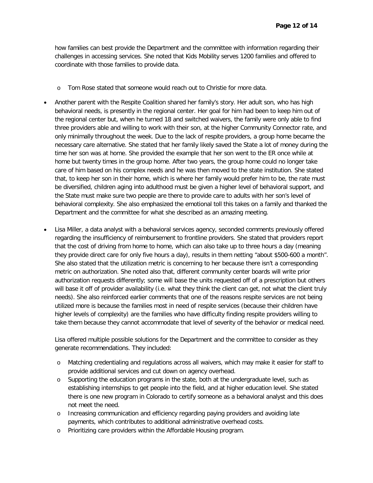how families can best provide the Department and the committee with information regarding their challenges in accessing services. She noted that Kids Mobility serves 1200 families and offered to coordinate with those families to provide data.

- o Tom Rose stated that someone would reach out to Christie for more data.
- Another parent with the Respite Coalition shared her family's story. Her adult son, who has high behavioral needs, is presently in the regional center. Her goal for him had been to keep him out of the regional center but, when he turned 18 and switched waivers, the family were only able to find three providers able and willing to work with their son, at the higher Community Connector rate, and only minimally throughout the week. Due to the lack of respite providers, a group home became the necessary care alternative. She stated that her family likely saved the State a lot of money during the time her son was at home. She provided the example that her son went to the ER once while at home but twenty times in the group home. After two years, the group home could no longer take care of him based on his complex needs and he was then moved to the state institution. She stated that, to keep her son in their home, which is where her family would prefer him to be, the rate must be diversified, children aging into adulthood must be given a higher level of behavioral support, and the State must make sure two people are there to provide care to adults with her son's level of behavioral complexity. She also emphasized the emotional toll this takes on a family and thanked the Department and the committee for what she described as an amazing meeting.
- Lisa Miller, a data analyst with a behavioral services agency, seconded comments previously offered regarding the insufficiency of reimbursement to frontline providers. She stated that providers report that the cost of driving from home to home, which can also take up to three hours a day (meaning they provide direct care for only five hours a day), results in them netting "about \$500-600 a month". She also stated that the utilization metric is concerning to her because there isn't a corresponding metric on authorization. She noted also that, different community center boards will write prior authorization requests differently; some will base the units requested off of a prescription but others will base it off of provider availability (i.e. what they think the client can get, not what the client truly needs). She also reinforced earlier comments that one of the reasons respite services are not being utilized more is because the families most in need of respite services (because their children have higher levels of complexity) are the families who have difficulty finding respite providers willing to take them because they cannot accommodate that level of severity of the behavior or medical need.

Lisa offered multiple possible solutions for the Department and the committee to consider as they generate recommendations. They included:

- o Matching credentialing and regulations across all waivers, which may make it easier for staff to provide additional services and cut down on agency overhead.
- o Supporting the education programs in the state, both at the undergraduate level, such as establishing internships to get people into the field, and at higher education level. She stated there is one new program in Colorado to certify someone as a behavioral analyst and this does not meet the need.
- o Increasing communication and efficiency regarding paying providers and avoiding late payments, which contributes to additional administrative overhead costs.
- o Prioritizing care providers within the Affordable Housing program.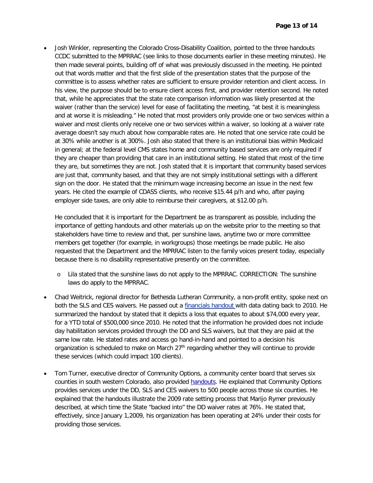• Josh Winkler, representing the Colorado Cross-Disability Coalition, pointed to the three handouts CCDC submitted to the MPRRAC (see links to those documents earlier in these meeting minutes). He then made several points, building off of what was previously discussed in the meeting. He pointed out that words matter and that the first slide of the presentation states that the purpose of the committee is to assess whether rates are sufficient to ensure provider retention and client access. In his view, the purpose should be to ensure client access first, and provider retention second. He noted that, while he appreciates that the state rate comparison information was likely presented at the waiver (rather than the service) level for ease of facilitating the meeting, "at best it is meaningless and at worse it is misleading." He noted that most providers only provide one or two services within a waiver and most clients only receive one or two services within a waiver, so looking at a waiver rate average doesn't say much about how comparable rates are. He noted that one service rate could be at 30% while another is at 300%. Josh also stated that there is an institutional bias within Medicaid in general; at the federal level CMS states home and community based services are only required if they are cheaper than providing that care in an institutional setting. He stated that most of the time they are, but sometimes they are not. Josh stated that it is important that community based services are just that, community based, and that they are not simply institutional settings with a different sign on the door. He stated that the minimum wage increasing become an issue in the next few years. He cited the example of CDASS clients, who receive \$15.44 p/h and who, after paying employer side taxes, are only able to reimburse their caregivers, at \$12.00 p/h.

He concluded that it is important for the Department be as transparent as possible, including the importance of getting handouts and other materials up on the website prior to the meeting so that stakeholders have time to review and that, per sunshine laws, anytime two or more committee members get together (for example, in workgroups) those meetings be made public. He also requested that the Department and the MPRRAC listen to the family voices present today, especially because there is no disability representative presently on the committee.

- o Lila stated that the sunshine laws do not apply to the MPRRAC. CORRECTION: The sunshine laws do apply to the MPRRAC.
- Chad Weitrick, regional director for Bethesda Lutheran Community, a non-profit entity, spoke next on both the SLS and CES waivers. He passed out a financials handout with data dating back to 2010. He summarized the handout by stated that it depicts a loss that equates to about \$74,000 every year, for a YTD total of \$500,000 since 2010. He noted that the information he provided does not include day habilitation services provided through the DD and SLS waivers, but that they are paid at the same low rate. He stated rates and access go hand-in-hand and pointed to a decision his organization is scheduled to make on March  $27<sup>th</sup>$  regarding whether they will continue to provide these services (which could impact 100 clients).
- Tom Turner, executive director of Community Options, a community center board that serves six counties in south western Colorado, also provided handouts. He explained that Community Options provides services under the DD, SLS and CES waivers to 500 people across those six counties. He explained that the handouts illustrate the 2009 rate setting process that Marijo Rymer previously described, at which time the State "backed into" the DD waiver rates at 76%. He stated that, effectively, since January 1,2009, his organization has been operating at 24% under their costs for providing those services.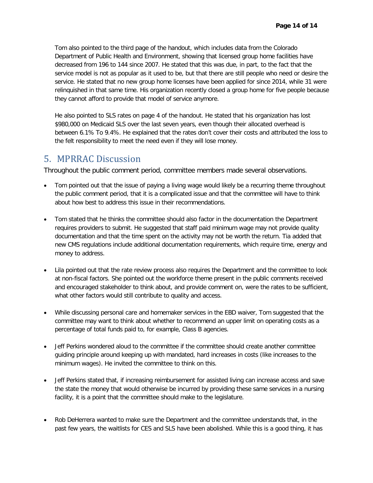Tom also pointed to the third page of the handout, which includes data from the Colorado Department of Public Health and Environment, showing that licensed group home facilities have decreased from 196 to 144 since 2007. He stated that this was due, in part, to the fact that the service model is not as popular as it used to be, but that there are still people who need or desire the service. He stated that no new group home licenses have been applied for since 2014, while 31 were relinquished in that same time. His organization recently closed a group home for five people because they cannot afford to provide that model of service anymore.

He also pointed to SLS rates on page 4 of the handout. He stated that his organization has lost \$980,000 on Medicaid SLS over the last seven years, even though their allocated overhead is between 6.1% To 9.4%. He explained that the rates don't cover their costs and attributed the loss to the felt responsibility to meet the need even if they will lose money.

### 5. MPRRAC Discussion

Throughout the public comment period, committee members made several observations.

- Tom pointed out that the issue of paying a living wage would likely be a recurring theme throughout the public comment period, that it is a complicated issue and that the committee will have to think about how best to address this issue in their recommendations.
- Tom stated that he thinks the committee should also factor in the documentation the Department requires providers to submit. He suggested that staff paid minimum wage may not provide quality documentation and that the time spent on the activity may not be worth the return. Tia added that new CMS regulations include additional documentation requirements, which require time, energy and money to address.
- Lila pointed out that the rate review process also requires the Department and the committee to look at non-fiscal factors. She pointed out the workforce theme present in the public comments received and encouraged stakeholder to think about, and provide comment on, were the rates to be sufficient, what other factors would still contribute to quality and access.
- While discussing personal care and homemaker services in the EBD waiver, Tom suggested that the committee may want to think about whether to recommend an upper limit on operating costs as a percentage of total funds paid to, for example, Class B agencies.
- Jeff Perkins wondered aloud to the committee if the committee should create another committee guiding principle around keeping up with mandated, hard increases in costs (like increases to the minimum wages). He invited the committee to think on this.
- Jeff Perkins stated that, if increasing reimbursement for assisted living can increase access and save the state the money that would otherwise be incurred by providing these same services in a nursing facility, it is a point that the committee should make to the legislature.
- Rob DeHerrera wanted to make sure the Department and the committee understands that, in the past few years, the waitlists for CES and SLS have been abolished. While this is a good thing, it has